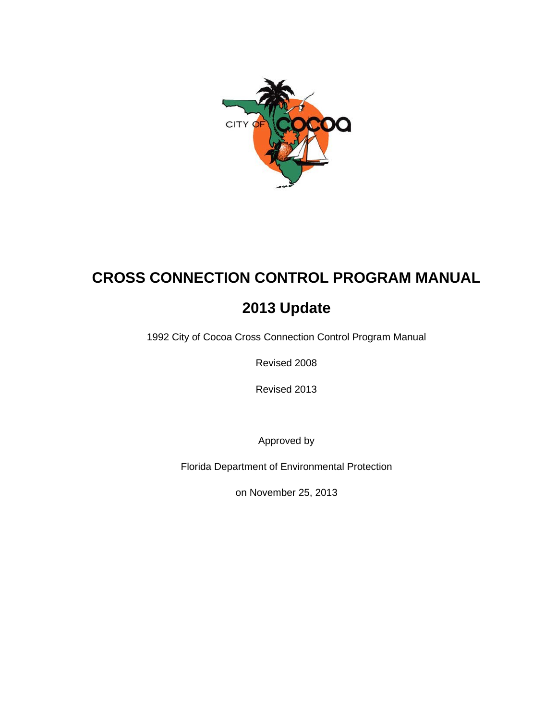

# **CROSS CONNECTION CONTROL PROGRAM MANUAL**

# **2013 Update**

1992 City of Cocoa Cross Connection Control Program Manual

Revised 2008

Revised 2013

Approved by

Florida Department of Environmental Protection

on November 25, 2013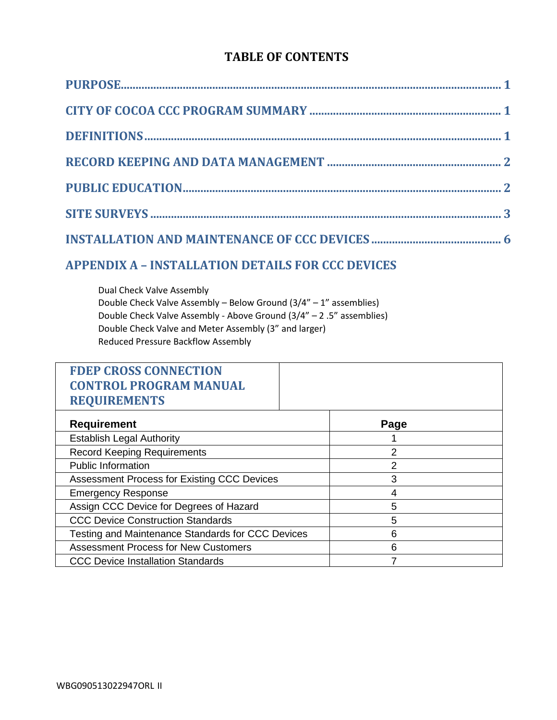# **TABLE OF CONTENTS**

# **APPENDIX A – [INSTALLATION DETAILS FOR CCC DEVICES](#page-9-0)**

Dual Check Valve Assembly Double Check Valve Assembly – Below Ground (3/4" – 1" assemblies) Double Check Valve Assembly - Above Ground (3/4" – 2 .5" assemblies) Double Check Valve and Meter Assembly (3" and larger) Reduced Pressure Backflow Assembly

| <b>FDEP CROSS CONNECTION</b>                       |               |
|----------------------------------------------------|---------------|
| <b>CONTROL PROGRAM MANUAL</b>                      |               |
| <b>REQUIREMENTS</b>                                |               |
| <b>Requirement</b>                                 | Page          |
| <b>Establish Legal Authority</b>                   |               |
| <b>Record Keeping Requirements</b>                 | $\mathcal{P}$ |
| <b>Public Information</b>                          | 2             |
| <b>Assessment Process for Existing CCC Devices</b> | 3             |
| <b>Emergency Response</b>                          | 4             |
| Assign CCC Device for Degrees of Hazard            | 5             |
| <b>CCC Device Construction Standards</b>           | 5             |
| Testing and Maintenance Standards for CCC Devices  | 6             |
| <b>Assessment Process for New Customers</b>        | 6             |
| <b>CCC Device Installation Standards</b>           |               |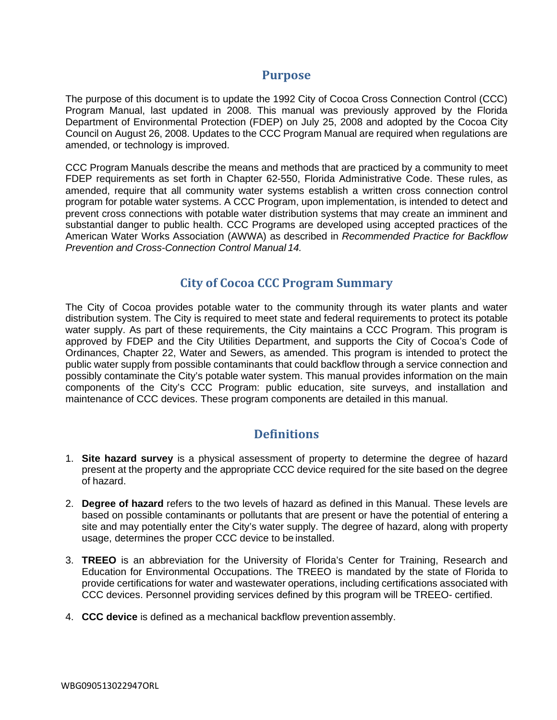### **Purpose**

<span id="page-2-0"></span>The purpose of this document is to update the 1992 City of Cocoa Cross Connection Control (CCC) Program Manual, last updated in 2008. This manual was previously approved by the Florida Department of Environmental Protection (FDEP) on July 25, 2008 and adopted by the Cocoa City Council on August 26, 2008. Updates to the CCC Program Manual are required when regulations are amended, or technology is improved.

CCC Program Manuals describe the means and methods that are practiced by a community to meet FDEP requirements as set forth in Chapter 62-550, Florida Administrative Code. These rules, as amended, require that all community water systems establish a written cross connection control program for potable water systems. A CCC Program, upon implementation, is intended to detect and prevent cross connections with potable water distribution systems that may create an imminent and substantial danger to public health. CCC Programs are developed using accepted practices of the American Water Works Association (AWWA) as described in *Recommended Practice for Backflow Prevention and Cross-Connection Control Manual 14.*

## **City of Cocoa CCC Program Summary**

<span id="page-2-1"></span>The City of Cocoa provides potable water to the community through its water plants and water distribution system. The City is required to meet state and federal requirements to protect its potable water supply. As part of these requirements, the City maintains a CCC Program. This program is approved by FDEP and the City Utilities Department, and supports the City of Cocoa's Code of Ordinances, Chapter 22, Water and Sewers, as amended. This program is intended to protect the public water supply from possible contaminants that could backflow through a service connection and possibly contaminate the City's potable water system. This manual provides information on the main components of the City's CCC Program: public education, site surveys, and installation and maintenance of CCC devices. These program components are detailed in this manual.

# **Definitions**

- <span id="page-2-2"></span>1. **Site hazard survey** is a physical assessment of property to determine the degree of hazard present at the property and the appropriate CCC device required for the site based on the degree of hazard.
- 2. **Degree of hazard** refers to the two levels of hazard as defined in this Manual. These levels are based on possible contaminants or pollutants that are present or have the potential of entering a site and may potentially enter the City's water supply. The degree of hazard, along with property usage, determines the proper CCC device to be installed.
- 3. **TREEO** is an abbreviation for the University of Florida's Center for Training, Research and Education for Environmental Occupations. The TREEO is mandated by the state of Florida to provide certifications for water and wastewater operations, including certifications associated with CCC devices. Personnel providing services defined by this program will be TREEO- certified.
- 4. **CCC device** is defined as a mechanical backflow prevention assembly.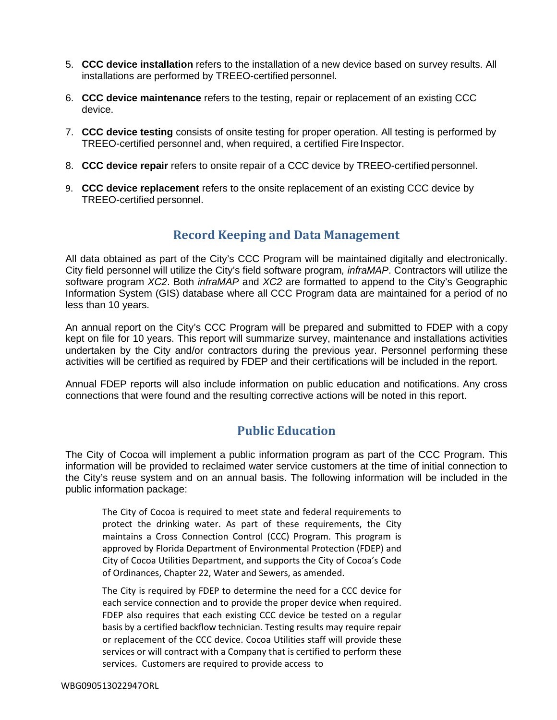- 5. **CCC device installation** refers to the installation of a new device based on survey results. All installations are performed by TREEO-certified personnel.
- 6. **CCC device maintenance** refers to the testing, repair or replacement of an existing CCC device.
- 7. **CCC device testing** consists of onsite testing for proper operation. All testing is performed by TREEO-certified personnel and, when required, a certified Fire Inspector.
- 8. **CCC device repair** refers to onsite repair of a CCC device by TREEO-certified personnel.
- <span id="page-3-0"></span>9. **CCC device replacement** refers to the onsite replacement of an existing CCC device by TREEO-certified personnel.

## **Record Keeping and Data Management**

All data obtained as part of the City's CCC Program will be maintained digitally and electronically. City field personnel will utilize the City's field software program*, infraMAP*. Contractors will utilize the software program *XC2*. Both *infraMAP* and *XC2* are formatted to append to the City's Geographic Information System (GIS) database where all CCC Program data are maintained for a period of no less than 10 years.

An annual report on the City's CCC Program will be prepared and submitted to FDEP with a copy kept on file for 10 years. This report will summarize survey, maintenance and installations activities undertaken by the City and/or contractors during the previous year. Personnel performing these activities will be certified as required by FDEP and their certifications will be included in the report.

<span id="page-3-1"></span>Annual FDEP reports will also include information on public education and notifications. Any cross connections that were found and the resulting corrective actions will be noted in this report.

## **Public Education**

The City of Cocoa will implement a public information program as part of the CCC Program. This information will be provided to reclaimed water service customers at the time of initial connection to the City's reuse system and on an annual basis. The following information will be included in the public information package:

The City of Cocoa is required to meet state and federal requirements to protect the drinking water. As part of these requirements, the City maintains a Cross Connection Control (CCC) Program. This program is approved by Florida Department of Environmental Protection (FDEP) and City of Cocoa Utilities Department, and supports the City of Cocoa's Code of Ordinances, Chapter 22, Water and Sewers, as amended.

The City is required by FDEP to determine the need for a CCC device for each service connection and to provide the proper device when required. FDEP also requires that each existing CCC device be tested on a regular basis by a certified backflow technician. Testing results may require repair or replacement of the CCC device. Cocoa Utilities staff will provide these services or will contract with a Company that is certified to perform these services. Customers are required to provide access to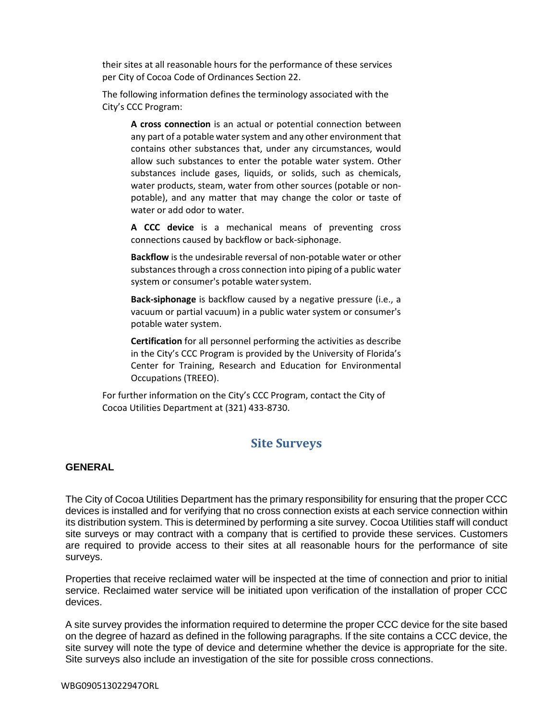their sites at all reasonable hours for the performance of these services per City of Cocoa Code of Ordinances Section 22.

The following information defines the terminology associated with the City's CCC Program:

**A cross connection** is an actual or potential connection between any part of a potable water system and any other environment that contains other substances that, under any circumstances, would allow such substances to enter the potable water system. Other substances include gases, liquids, or solids, such as chemicals, water products, steam, water from other sources (potable or nonpotable), and any matter that may change the color or taste of water or add odor to water.

**A CCC device** is a mechanical means of preventing cross connections caused by backflow or back-siphonage.

**Backflow** is the undesirable reversal of non-potable water or other substances through a cross connection into piping of a public water system or consumer's potable water system.

**Back-siphonage** is backflow caused by a negative pressure (i.e., a vacuum or partial vacuum) in a public water system or consumer's potable water system.

**Certification** for all personnel performing the activities as describe in the City's CCC Program is provided by the University of Florida's Center for Training, Research and Education for Environmental Occupations (TREEO).

For further information on the City's CCC Program, contact the City of Cocoa Utilities Department at (321) 433-8730.

## **Site Surveys**

#### <span id="page-4-0"></span>**GENERAL**

The City of Cocoa Utilities Department has the primary responsibility for ensuring that the proper CCC devices is installed and for verifying that no cross connection exists at each service connection within its distribution system. This is determined by performing a site survey. Cocoa Utilities staff will conduct site surveys or may contract with a company that is certified to provide these services. Customers are required to provide access to their sites at all reasonable hours for the performance of site surveys.

Properties that receive reclaimed water will be inspected at the time of connection and prior to initial service. Reclaimed water service will be initiated upon verification of the installation of proper CCC devices.

A site survey provides the information required to determine the proper CCC device for the site based on the degree of hazard as defined in the following paragraphs. If the site contains a CCC device, the site survey will note the type of device and determine whether the device is appropriate for the site. Site surveys also include an investigation of the site for possible cross connections.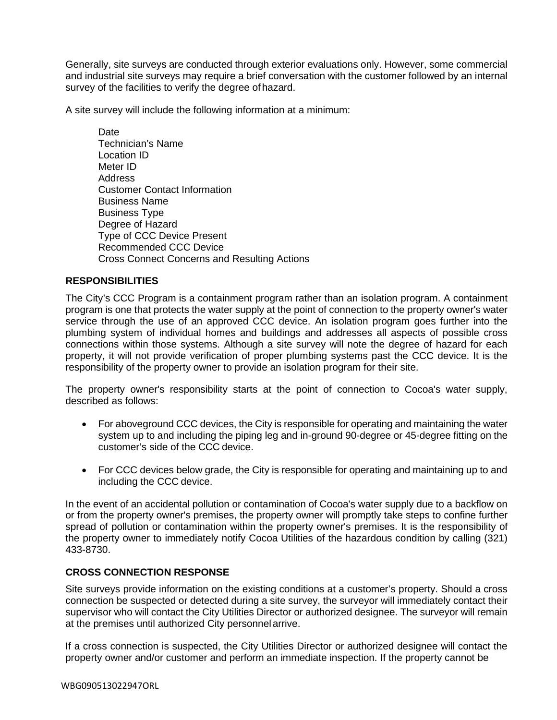Generally, site surveys are conducted through exterior evaluations only. However, some commercial and industrial site surveys may require a brief conversation with the customer followed by an internal survey of the facilities to verify the degree ofhazard.

A site survey will include the following information at a minimum:

**Date** Technician's Name Location ID Meter ID Address Customer Contact Information Business Name Business Type Degree of Hazard Type of CCC Device Present Recommended CCC Device Cross Connect Concerns and Resulting Actions

#### **RESPONSIBILITIES**

The City's CCC Program is a containment program rather than an isolation program. A containment program is one that protects the water supply at the point of connection to the property owner's water service through the use of an approved CCC device. An isolation program goes further into the plumbing system of individual homes and buildings and addresses all aspects of possible cross connections within those systems. Although a site survey will note the degree of hazard for each property, it will not provide verification of proper plumbing systems past the CCC device. It is the responsibility of the property owner to provide an isolation program for their site.

The property owner's responsibility starts at the point of connection to Cocoa's water supply, described as follows:

- For aboveground CCC devices, the City is responsible for operating and maintaining the water system up to and including the piping leg and in-ground 90-degree or 45-degree fitting on the customer's side of the CCC device.
- For CCC devices below grade, the City is responsible for operating and maintaining up to and including the CCC device.

In the event of an accidental pollution or contamination of Cocoa's water supply due to a backflow on or from the property owner's premises, the property owner will promptly take steps to confine further spread of pollution or contamination within the property owner's premises. It is the responsibility of the property owner to immediately notify Cocoa Utilities of the hazardous condition by calling (321) 433-8730.

#### **CROSS CONNECTION RESPONSE**

Site surveys provide information on the existing conditions at a customer's property. Should a cross connection be suspected or detected during a site survey, the surveyor will immediately contact their supervisor who will contact the City Utilities Director or authorized designee. The surveyor will remain at the premises until authorized City personnel arrive.

If a cross connection is suspected, the City Utilities Director or authorized designee will contact the property owner and/or customer and perform an immediate inspection. If the property cannot be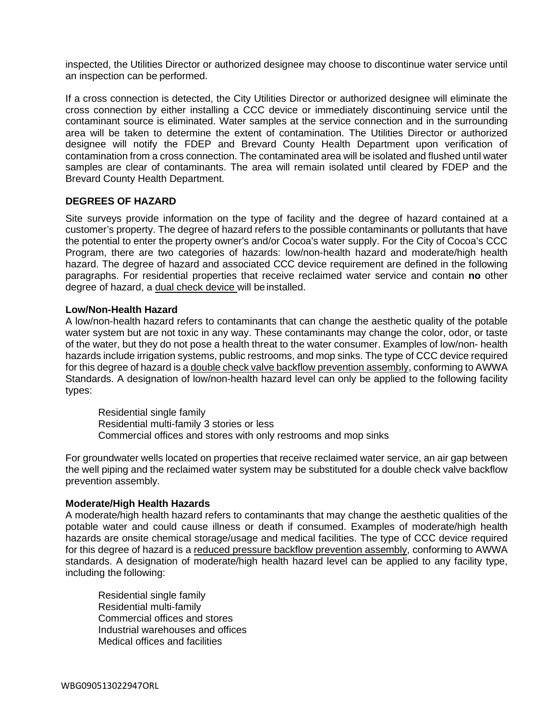inspected, the Utilities Director or authorized designee may choose to discontinue water service until an inspection can be performed.

If a cross connection is detected, the City Utilities Director or authorized designee will eliminate the cross connection by either installing a CCC device or immediately discontinuing service until the contaminant source is eliminated. Water samples at the service connection and in the surrounding area will be taken to determine the extent of contamination. The Utilities Director or authorized designee will notify the FDEP and Brevard County Health Department upon verification of contamination from a cross connection. The contaminated area will be isolated and flushed until water samples are clear of contaminants. The area will remain isolated until cleared by FDEP and the Brevard County Health Department.

#### **DEGREES OF HAZARD**

Site surveys provide information on the type of facility and the degree of hazard contained at a customer's property. The degree of hazard refers to the possible contaminants or pollutants that have the potential to enter the property owner's and/or Cocoa's water supply. For the City of Cocoa's CCC Program, there are two categories of hazards: low/non-health hazard and moderate/high health hazard. The degree of hazard and associated CCC device requirement are defined in the following paragraphs. For residential properties that receive reclaimed water service and contain **no** other degree of hazard, a dual check device will be installed.

#### **Low/Non-Health Hazard**

A low/non-health hazard refers to contaminants that can change the aesthetic quality of the potable water system but are not toxic in any way. These contaminants may change the color, odor, or taste of the water, but they do not pose a health threat to the water consumer. Examples of low/non- health hazards include irrigation systems, public restrooms, and mop sinks. The type of CCC device required for this degree of hazard is a double check valve backflow prevention assembly, conforming to AWWA Standards. A designation of low/non-health hazard level can only be applied to the following facility types:

Residential single family Residential multi-family 3 stories or less Commercial offices and stores with only restrooms and mop sinks

For groundwater wells located on properties that receive reclaimed water service, an air gap between the well piping and the reclaimed water system may be substituted for a double check valve backflow prevention assembly.

#### **Moderate/High Health Hazards**

A moderate/high health hazard refers to contaminants that may change the aesthetic qualities of the potable water and could cause illness or death if consumed. Examples of moderate/high health hazards are onsite chemical storage/usage and medical facilities. The type of CCC device required for this degree of hazard is a reduced pressure backflow prevention assembly, conforming to AWWA standards. A designation of moderate/high health hazard level can be applied to any facility type, including the following:

Residential single family Residential multi-family Commercial offices and stores Industrial warehouses and offices Medical offices and facilities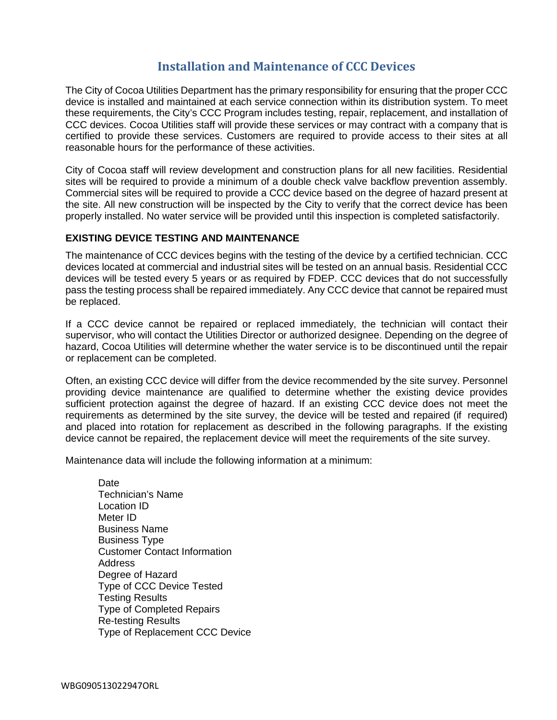# **Installation and Maintenance of CCC Devices**

<span id="page-7-0"></span>The City of Cocoa Utilities Department has the primary responsibility for ensuring that the proper CCC device is installed and maintained at each service connection within its distribution system. To meet these requirements, the City's CCC Program includes testing, repair, replacement, and installation of CCC devices. Cocoa Utilities staff will provide these services or may contract with a company that is certified to provide these services. Customers are required to provide access to their sites at all reasonable hours for the performance of these activities.

City of Cocoa staff will review development and construction plans for all new facilities. Residential sites will be required to provide a minimum of a double check valve backflow prevention assembly. Commercial sites will be required to provide a CCC device based on the degree of hazard present at the site. All new construction will be inspected by the City to verify that the correct device has been properly installed. No water service will be provided until this inspection is completed satisfactorily.

#### **EXISTING DEVICE TESTING AND MAINTENANCE**

The maintenance of CCC devices begins with the testing of the device by a certified technician. CCC devices located at commercial and industrial sites will be tested on an annual basis. Residential CCC devices will be tested every 5 years or as required by FDEP. CCC devices that do not successfully pass the testing process shall be repaired immediately. Any CCC device that cannot be repaired must be replaced.

If a CCC device cannot be repaired or replaced immediately, the technician will contact their supervisor, who will contact the Utilities Director or authorized designee. Depending on the degree of hazard, Cocoa Utilities will determine whether the water service is to be discontinued until the repair or replacement can be completed.

Often, an existing CCC device will differ from the device recommended by the site survey. Personnel providing device maintenance are qualified to determine whether the existing device provides sufficient protection against the degree of hazard. If an existing CCC device does not meet the requirements as determined by the site survey, the device will be tested and repaired (if required) and placed into rotation for replacement as described in the following paragraphs. If the existing device cannot be repaired, the replacement device will meet the requirements of the site survey.

Maintenance data will include the following information at a minimum:

**Date** Technician's Name Location ID Meter ID Business Name Business Type Customer Contact Information Address Degree of Hazard Type of CCC Device Tested Testing Results Type of Completed Repairs Re-testing Results Type of Replacement CCC Device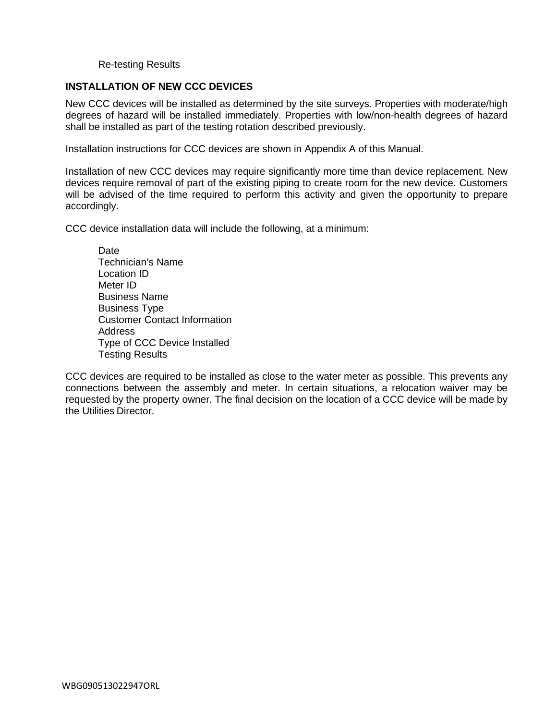#### Re-testing Results

#### **INSTALLATION OF NEW CCC DEVICES**

New CCC devices will be installed as determined by the site surveys. Properties with moderate/high degrees of hazard will be installed immediately. Properties with low/non-health degrees of hazard shall be installed as part of the testing rotation described previously.

Installation instructions for CCC devices are shown in Appendix A of this Manual.

Installation of new CCC devices may require significantly more time than device replacement. New devices require removal of part of the existing piping to create room for the new device. Customers will be advised of the time required to perform this activity and given the opportunity to prepare accordingly.

CCC device installation data will include the following, at a minimum:

**Date** Technician's Name Location ID Meter ID Business Name Business Type Customer Contact Information Address Type of CCC Device Installed Testing Results

CCC devices are required to be installed as close to the water meter as possible. This prevents any connections between the assembly and meter. In certain situations, a relocation waiver may be requested by the property owner. The final decision on the location of a CCC device will be made by the Utilities Director.